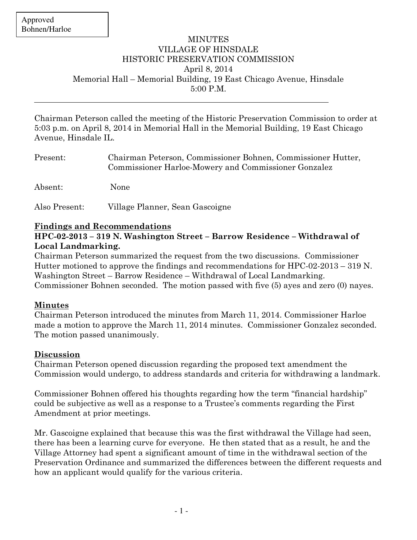## **MINUTES** VILLAGE OF HINSDALE HISTORIC PRESERVATION COMMISSION April 8, 2014 Memorial Hall – Memorial Building, 19 East Chicago Avenue, Hinsdale 5:00 P.M.

Chairman Peterson called the meeting of the Historic Preservation Commission to order at 5:03 p.m. on April 8, 2014 in Memorial Hall in the Memorial Building, 19 East Chicago Avenue, Hinsdale IL.

| Present:      | Chairman Peterson, Commissioner Bohnen, Commissioner Hutter,<br>Commissioner Harloe-Mowery and Commissioner Gonzalez |
|---------------|----------------------------------------------------------------------------------------------------------------------|
| Absent:       | <b>None</b>                                                                                                          |
| Also Present: | Village Planner, Sean Gascoigne                                                                                      |

## **Findings and Recommendations**

#### **HPC-02-2013 – 319 N. Washington Street – Barrow Residence – Withdrawal of Local Landmarking.**

Chairman Peterson summarized the request from the two discussions. Commissioner Hutter motioned to approve the findings and recommendations for HPC-02-2013 – 319 N. Washington Street – Barrow Residence – Withdrawal of Local Landmarking. Commissioner Bohnen seconded. The motion passed with five (5) ayes and zero (0) nayes.

## **Minutes**

Chairman Peterson introduced the minutes from March 11, 2014. Commissioner Harloe made a motion to approve the March 11, 2014 minutes. Commissioner Gonzalez seconded. The motion passed unanimously.

## **Discussion**

Chairman Peterson opened discussion regarding the proposed text amendment the Commission would undergo, to address standards and criteria for withdrawing a landmark.

Commissioner Bohnen offered his thoughts regarding how the term "financial hardship" could be subjective as well as a response to a Trustee's comments regarding the First Amendment at prior meetings.

Mr. Gascoigne explained that because this was the first withdrawal the Village had seen, there has been a learning curve for everyone. He then stated that as a result, he and the Village Attorney had spent a significant amount of time in the withdrawal section of the Preservation Ordinance and summarized the differences between the different requests and how an applicant would qualify for the various criteria.